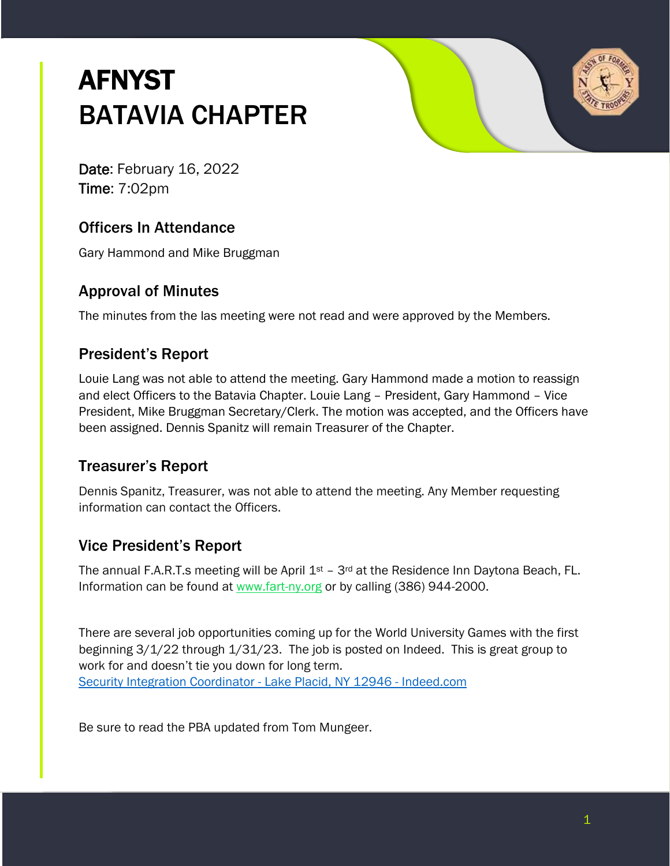# **AFNYST** BATAVIA CHAPTER



Date: February 16, 2022 Time: 7:02pm

## Officers In Attendance

Gary Hammond and Mike Bruggman

### Approval of Minutes

The minutes from the las meeting were not read and were approved by the Members.

## President's Report

Louie Lang was not able to attend the meeting. Gary Hammond made a motion to reassign and elect Officers to the Batavia Chapter. Louie Lang – President, Gary Hammond – Vice President, Mike Bruggman Secretary/Clerk. The motion was accepted, and the Officers have been assigned. Dennis Spanitz will remain Treasurer of the Chapter.

## Treasurer's Report

Dennis Spanitz, Treasurer, was not able to attend the meeting. Any Member requesting information can contact the Officers.

# Vice President's Report

The annual F.A.R.T.s meeting will be April  $1<sup>st</sup>$  – 3<sup>rd</sup> at the Residence Inn Daytona Beach, FL. Information can be found at [www.fart-ny.org](http://www.fart-ny.org/) or by calling (386) 944-2000.

There are several job opportunities coming up for the World University Games with the first beginning 3/1/22 through 1/31/23. The job is posted on Indeed. This is great group to work for and doesn't tie you down for long term. [Security Integration Coordinator -](https://www.indeed.com/viewjob?t=security+integration+coordinator&jk=351fcc85b52670cd&_ga=2.250037518.928017201.1643903578-2089386456.1623079056) Lake Placid, NY 12946 - Indeed.com

Be sure to read the PBA updated from Tom Mungeer.